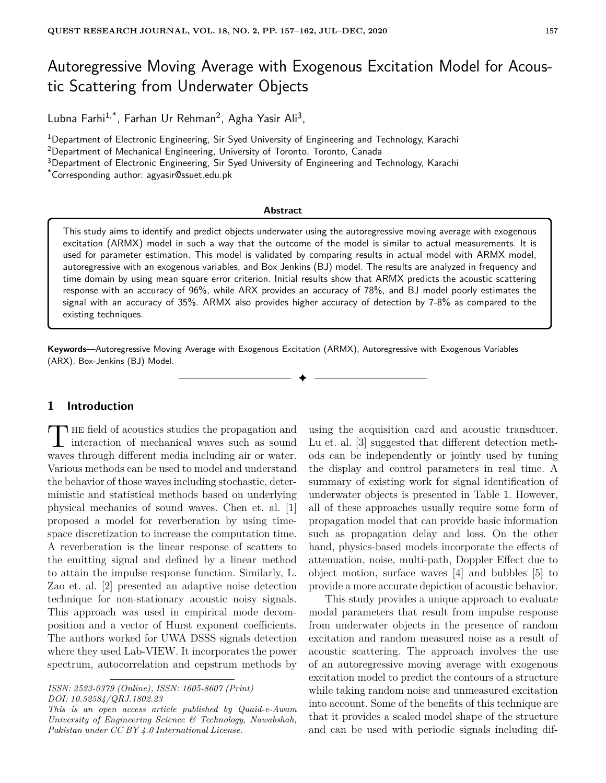# Autoregressive Moving Average with Exogenous Excitation Model for Acoustic Scattering from Underwater Objects

Lubna Farhi<sup>1,\*</sup>, Farhan Ur Rehman<sup>2</sup>, Agha Yasir Ali<sup>3</sup>,

<sup>1</sup>Department of Electronic Engineering, Sir Syed University of Engineering and Technology, Karachi

<sup>2</sup>Department of Mechanical Engineering, University of Toronto, Toronto, Canada

<sup>3</sup>Department of Electronic Engineering, Sir Syed University of Engineering and Technology, Karachi

\*Corresponding author: agyasir@ssuet.edu.pk

#### **Abstract**

This study aims to identify and predict objects underwater using the autoregressive moving average with exogenous excitation (ARMX) model in such a way that the outcome of the model is similar to actual measurements. It is used for parameter estimation. This model is validated by comparing results in actual model with ARMX model, autoregressive with an exogenous variables, and Box Jenkins (BJ) model. The results are analyzed in frequency and time domain by using mean square error criterion. Initial results show that ARMX predicts the acoustic scattering response with an accuracy of 96%, while ARX provides an accuracy of 78%, and BJ model poorly estimates the signal with an accuracy of 35%. ARMX also provides higher accuracy of detection by 7-8% as compared to the existing techniques.

✦

**Keywords**—Autoregressive Moving Average with Exogenous Excitation (ARMX), Autoregressive with Exogenous Variables (ARX), Box-Jenkins (BJ) Model.

## **1 Introduction**

THE field of acoustics studies the propagation and<br>interaction of mechanical waves such as sound **HE** field of acoustics studies the propagation and waves through different media including air or water. Various methods can be used to model and understand the behavior of those waves including stochastic, deterministic and statistical methods based on underlying physical mechanics of sound waves. Chen et. al. [1] proposed a model for reverberation by using timespace discretization to increase the computation time. A reverberation is the linear response of scatters to the emitting signal and defined by a linear method to attain the impulse response function. Similarly, L. Zao et. al. [2] presented an adaptive noise detection technique for non-stationary acoustic noisy signals. This approach was used in empirical mode decomposition and a vector of Hurst exponent coefficients. The authors worked for UWA DSSS signals detection where they used Lab-VIEW. It incorporates the power spectrum, autocorrelation and cepstrum methods by

using the acquisition card and acoustic transducer. Lu et. al. [3] suggested that different detection methods can be independently or jointly used by tuning the display and control parameters in real time. A summary of existing work for signal identification of underwater objects is presented in Table 1. However, all of these approaches usually require some form of propagation model that can provide basic information such as propagation delay and loss. On the other hand, physics-based models incorporate the effects of attenuation, noise, multi-path, Doppler Effect due to object motion, surface waves [4] and bubbles [5] to provide a more accurate depiction of acoustic behavior.

This study provides a unique approach to evaluate modal parameters that result from impulse response from underwater objects in the presence of random excitation and random measured noise as a result of acoustic scattering. The approach involves the use of an autoregressive moving average with exogenous excitation model to predict the contours of a structure while taking random noise and unmeasured excitation into account. Some of the benefits of this technique are that it provides a scaled model shape of the structure and can be used with periodic signals including dif-

*ISSN: 2523-0379 (Online), ISSN: 1605-8607 (Print) DOI: 10.52584/QRJ.1802.23*

*This is an open access article published by Quaid-e-Awam University of Engineering Science & Technology, Nawabshah, Pakistan under CC BY 4.0 International License.*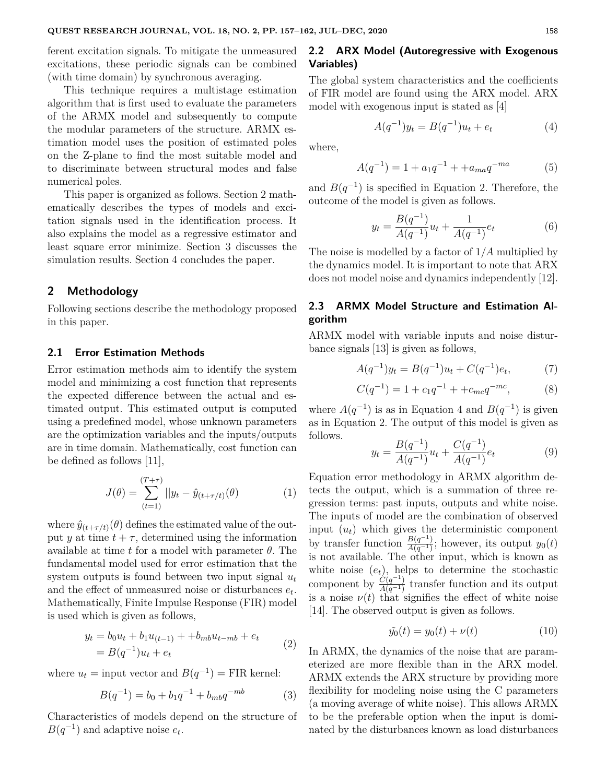ferent excitation signals. To mitigate the unmeasured excitations, these periodic signals can be combined (with time domain) by synchronous averaging.

This technique requires a multistage estimation algorithm that is first used to evaluate the parameters of the ARMX model and subsequently to compute the modular parameters of the structure. ARMX estimation model uses the position of estimated poles on the Z-plane to find the most suitable model and to discriminate between structural modes and false numerical poles.

This paper is organized as follows. Section 2 mathematically describes the types of models and excitation signals used in the identification process. It also explains the model as a regressive estimator and least square error minimize. Section 3 discusses the simulation results. Section 4 concludes the paper.

#### **2 Methodology**

Following sections describe the methodology proposed in this paper.

### **2.1 Error Estimation Methods**

Error estimation methods aim to identify the system model and minimizing a cost function that represents the expected difference between the actual and estimated output. This estimated output is computed using a predefined model, whose unknown parameters are the optimization variables and the inputs/outputs are in time domain. Mathematically, cost function can be defined as follows [11],

$$
J(\theta) = \sum_{(t=1)}^{(T+\tau)} ||y_t - \hat{y}_{(t+\tau/t)}(\theta)
$$
 (1)

where  $\hat{y}_{(t+\tau/t)}(\theta)$  defines the estimated value of the output *y* at time  $t + \tau$ , determined using the information available at time *t* for a model with parameter *θ*. The fundamental model used for error estimation that the system outputs is found between two input signal  $u_t$ and the effect of unmeasured noise or disturbances *e<sup>t</sup>* . Mathematically, Finite Impulse Response (FIR) model is used which is given as follows,

$$
y_t = b_0 u_t + b_1 u_{(t-1)} + b_{mb} u_{t-mb} + e_t
$$
  
=  $B(q^{-1})u_t + e_t$  (2)

where  $u_t$  = input vector and  $B(q^{-1})$  = FIR kernel:

$$
B(q^{-1}) = b_0 + b_1 q^{-1} + b_{mb} q^{-mb} \tag{3}
$$

Characteristics of models depend on the structure of  $B(q^{-1})$  and adaptive noise  $e_t$ .

## **2.2 ARX Model (Autoregressive with Exogenous Variables)**

The global system characteristics and the coefficients of FIR model are found using the ARX model. ARX model with exogenous input is stated as [4]

$$
A(q^{-1})y_t = B(q^{-1})u_t + e_t \tag{4}
$$

where,

$$
A(q^{-1}) = 1 + a_1 q^{-1} + + a_{ma} q^{-ma}
$$
 (5)

and  $B(q^{-1})$  is specified in Equation 2. Therefore, the outcome of the model is given as follows.

$$
y_t = \frac{B(q^{-1})}{A(q^{-1})}u_t + \frac{1}{A(q^{-1})}e_t
$$
 (6)

The noise is modelled by a factor of 1*/A* multiplied by the dynamics model. It is important to note that ARX does not model noise and dynamics independently [12].

## **2.3 ARMX Model Structure and Estimation Algorithm**

ARMX model with variable inputs and noise disturbance signals [13] is given as follows,

$$
A(q^{-1})y_t = B(q^{-1})u_t + C(q^{-1})e_t,
$$
 (7)

$$
C(q^{-1}) = 1 + c_1 q^{-1} + + c_{mc} q^{-mc}, \tag{8}
$$

where  $A(q^{-1})$  is as in Equation 4 and  $B(q^{-1})$  is given as in Equation 2. The output of this model is given as follows.

$$
y_t = \frac{B(q^{-1})}{A(q^{-1})}u_t + \frac{C(q^{-1})}{A(q^{-1})}e_t
$$
\n(9)

Equation error methodology in ARMX algorithm detects the output, which is a summation of three regression terms: past inputs, outputs and white noise. The inputs of model are the combination of observed input  $(u_t)$  which gives the deterministic component by transfer function  $\frac{B(q^{-1})}{A(q^{-1})}$  $\frac{B(q-1)}{A(q^{-1})}$ ; however, its output *y*<sub>0</sub>(*t*) is not available. The other input, which is known as white noise  $(e_t)$ , helps to determine the stochastic component by  $\frac{\dot{C}(q^{-1})}{4(q^{-1})}$  $\frac{C(q^{-1})}{A(q^{-1})}$  transfer function and its output is a noise  $\nu(t)$  that signifies the effect of white noise [14]. The observed output is given as follows.

$$
\tilde{y}_0(t) = y_0(t) + \nu(t) \tag{10}
$$

In ARMX, the dynamics of the noise that are parameterized are more flexible than in the ARX model. ARMX extends the ARX structure by providing more flexibility for modeling noise using the C parameters (a moving average of white noise). This allows ARMX to be the preferable option when the input is dominated by the disturbances known as load disturbances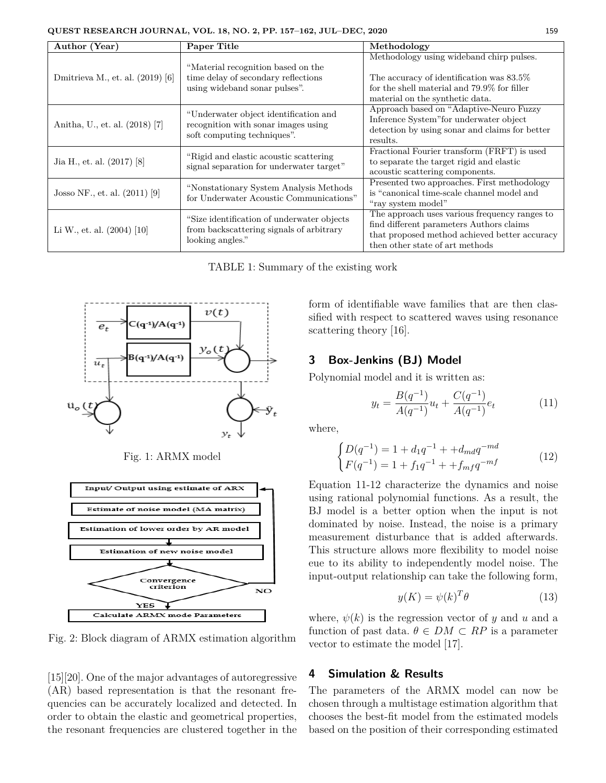| Author (Year)                    | Paper Title                                                                                                 | Methodology                                                                                                                                                                   |
|----------------------------------|-------------------------------------------------------------------------------------------------------------|-------------------------------------------------------------------------------------------------------------------------------------------------------------------------------|
| Dmitrieva M., et. al. (2019) [6] | "Material recognition based on the<br>time delay of secondary reflections<br>using wideband sonar pulses".  | Methodology using wideband chirp pulses.<br>The accuracy of identification was 83.5%<br>for the shell material and 79.9% for filler<br>material on the synthetic data.        |
| Anitha, U., et. al. (2018) [7]   | "Underwater object identification and<br>recognition with sonar images using<br>soft computing techniques". | Approach based on "Adaptive-Neuro Fuzzy<br>Inference System" for underwater object<br>detection by using sonar and claims for better<br>results.                              |
| Jia H., et. al. (2017) [8]       | "Rigid and elastic acoustic scattering"<br>signal separation for underwater target"                         | Fractional Fourier transform (FRFT) is used<br>to separate the target rigid and elastic<br>acoustic scattering components.                                                    |
| Josso NF., et. al. $(2011)$ [9]  | "Nonstationary System Analysis Methods"<br>for Underwater Acoustic Communications"                          | Presented two approaches. First methodology<br>is "canonical time-scale channel model and<br>"ray system model"                                                               |
| Li W., et. al. $(2004)$ [10]     | "Size identification of underwater objects"<br>from backscattering signals of arbitrary<br>looking angles." | The approach uses various frequency ranges to<br>find different parameters Authors claims<br>that proposed method achieved better accuracy<br>then other state of art methods |

TABLE 1: Summary of the existing work



Fig. 1: ARMX model



Fig. 2: Block diagram of ARMX estimation algorithm

[15][20]. One of the major advantages of autoregressive (AR) based representation is that the resonant frequencies can be accurately localized and detected. In order to obtain the elastic and geometrical properties, the resonant frequencies are clustered together in the

form of identifiable wave families that are then classified with respect to scattered waves using resonance scattering theory [16].

## **3 Box-Jenkins (BJ) Model**

Polynomial model and it is written as:

$$
y_t = \frac{B(q^{-1})}{A(q^{-1})}u_t + \frac{C(q^{-1})}{A(q^{-1})}e_t
$$
 (11)

where,

$$
\begin{cases}\nD(q^{-1}) = 1 + d_1 q^{-1} + + d_{md} q^{-md} \\
F(q^{-1}) = 1 + f_1 q^{-1} + + f_{mf} q^{-mf}\n\end{cases}
$$
\n(12)

Equation 11-12 characterize the dynamics and noise using rational polynomial functions. As a result, the BJ model is a better option when the input is not dominated by noise. Instead, the noise is a primary measurement disturbance that is added afterwards. This structure allows more flexibility to model noise eue to its ability to independently model noise. The input-output relationship can take the following form,

$$
y(K) = \psi(k)^T \theta \tag{13}
$$

where,  $\psi(k)$  is the regression vector of *y* and *u* and a function of past data.  $\theta \in DM \subset RP$  is a parameter vector to estimate the model [17].

## **4 Simulation & Results**

The parameters of the ARMX model can now be chosen through a multistage estimation algorithm that chooses the best-fit model from the estimated models based on the position of their corresponding estimated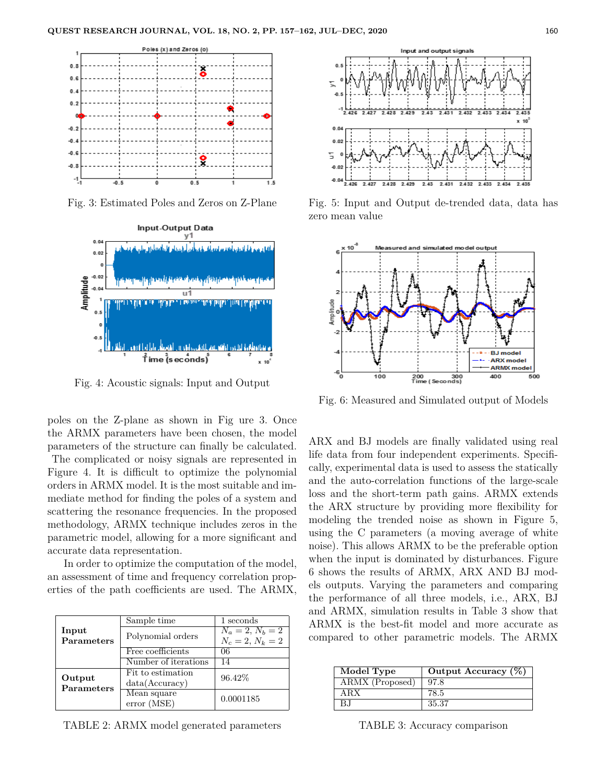

Fig. 3: Estimated Poles and Zeros on Z-Plane



Fig. 4: Acoustic signals: Input and Output

poles on the Z-plane as shown in Fig ure 3. Once the ARMX parameters have been chosen, the model parameters of the structure can finally be calculated.

The complicated or noisy signals are represented in Figure 4. It is difficult to optimize the polynomial orders in ARMX model. It is the most suitable and immediate method for finding the poles of a system and scattering the resonance frequencies. In the proposed methodology, ARMX technique includes zeros in the parametric model, allowing for a more significant and accurate data representation.

In order to optimize the computation of the model, an assessment of time and frequency correlation properties of the path coefficients are used. The ARMX,

|            | Sample time          | 1 seconds          |  |
|------------|----------------------|--------------------|--|
| Input      | Polynomial orders    | $N_a=2, N_b=2$     |  |
| Parameters |                      | $N_c = 2, N_k = 2$ |  |
|            | Free coefficients    | 06                 |  |
|            | Number of iterations | 14                 |  |
| Output     | Fit to estimation    | 96.42%             |  |
| Parameters | data(Accuracy)       |                    |  |
|            | Mean square          | 0.0001185          |  |
|            | error (MSE)          |                    |  |

TABLE 2: ARMX model generated parameters



Fig. 5: Input and Output de-trended data, data has zero mean value



Fig. 6: Measured and Simulated output of Models

ARX and BJ models are finally validated using real life data from four independent experiments. Specifically, experimental data is used to assess the statically and the auto-correlation functions of the large-scale loss and the short-term path gains. ARMX extends the ARX structure by providing more flexibility for modeling the trended noise as shown in Figure 5, using the C parameters (a moving average of white noise). This allows ARMX to be the preferable option when the input is dominated by disturbances. Figure 6 shows the results of ARMX, ARX AND BJ models outputs. Varying the parameters and comparing the performance of all three models, i.e., ARX, BJ and ARMX, simulation results in Table 3 show that ARMX is the best-fit model and more accurate as compared to other parametric models. The ARMX

| Model Type      | Output Accuracy $(\%)$ |
|-----------------|------------------------|
| ARMX (Proposed) | 97.8                   |
| ARX             | 78.5                   |
| B.I             | 35.37                  |

TABLE 3: Accuracy comparison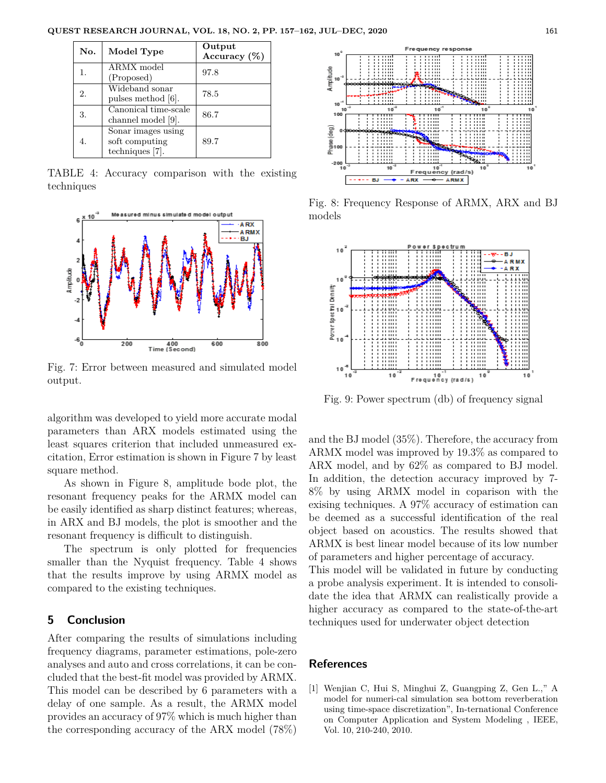| No. | Model Type                                              | Output<br>Accuracy $(\%)$ |
|-----|---------------------------------------------------------|---------------------------|
| 1.  | <b>ARMX</b> model<br>(Proposed)                         | 97.8                      |
| 2.  | Wideband sonar<br>pulses method [6].                    | 78.5                      |
| 3.  | Canonical time-scale<br>channel model [9].              | 86.7                      |
| 4.  | Sonar images using<br>soft computing<br>techniques [7]. | 89.7                      |

TABLE 4: Accuracy comparison with the existing techniques



Fig. 7: Error between measured and simulated model output.

algorithm was developed to yield more accurate modal parameters than ARX models estimated using the least squares criterion that included unmeasured excitation, Error estimation is shown in Figure 7 by least square method.

As shown in Figure 8, amplitude bode plot, the resonant frequency peaks for the ARMX model can be easily identified as sharp distinct features; whereas, in ARX and BJ models, the plot is smoother and the resonant frequency is difficult to distinguish.

The spectrum is only plotted for frequencies smaller than the Nyquist frequency. Table 4 shows that the results improve by using ARMX model as compared to the existing techniques.

#### **5 Conclusion**

After comparing the results of simulations including frequency diagrams, parameter estimations, pole-zero analyses and auto and cross correlations, it can be concluded that the best-fit model was provided by ARMX. This model can be described by 6 parameters with a delay of one sample. As a result, the ARMX model provides an accuracy of 97% which is much higher than the corresponding accuracy of the ARX model (78%)



Fig. 8: Frequency Response of ARMX, ARX and BJ models



Fig. 9: Power spectrum (db) of frequency signal

and the BJ model (35%). Therefore, the accuracy from ARMX model was improved by 19.3% as compared to ARX model, and by 62% as compared to BJ model. In addition, the detection accuracy improved by 7- 8% by using ARMX model in coparison with the exising techniques. A 97% accuracy of estimation can be deemed as a successful identification of the real object based on acoustics. The results showed that ARMX is best linear model because of its low number of parameters and higher percentage of accuracy.

This model will be validated in future by conducting a probe analysis experiment. It is intended to consolidate the idea that ARMX can realistically provide a higher accuracy as compared to the state-of-the-art techniques used for underwater object detection

#### **References**

[1] Wenjian C, Hui S, Minghui Z, Guangping Z, Gen L.," A model for numeri-cal simulation sea bottom reverberation using time-space discretization", In-ternational Conference on Computer Application and System Modeling , IEEE, Vol. 10, 210-240, 2010.